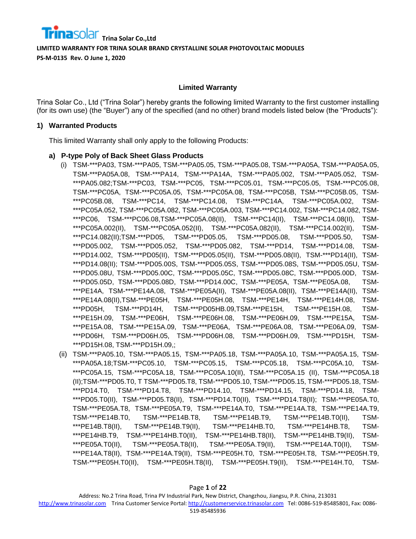#### **Limited Warranty**

Trina Solar Co., Ltd ("Trina Solar") hereby grants the following limited Warranty to the first customer installing (for its own use) (the "Buyer") any of the specified (and no other) brand models listed below (the "Products"):

#### **1) Warranted Products**

This limited Warranty shall only apply to the following Products:

#### **a) P-type Poly of Back Sheet Glass Products**

- (i) TSM-\*\*\*PA03, TSM-\*\*\*PA05, TSM-\*\*\*PA05.05, TSM-\*\*\*PA05.08, TSM-\*\*\*PA05A, TSM-\*\*\*PA05A.05, TSM-\*\*\*PA05A.08, TSM-\*\*\*PA14, TSM-\*\*\*PA14A, TSM-\*\*\*PA05.002, TSM-\*\*\*PA05.052, TSM- \*\*\*PA05.082;TSM-\*\*\*PC03, TSM-\*\*\*PC05, TSM-\*\*\*PC05.01, TSM-\*\*\*PC05.05, TSM-\*\*\*PC05.08, TSM-\*\*\*PC05A, TSM-\*\*\*PC05A.05, TSM-\*\*\*PC05A.08, TSM-\*\*\*PC05B, TSM-\*\*\*PC05B.05, TSM- \*\*\*PC05B.08, TSM-\*\*\*PC14, TSM-\*\*\*PC14.08, TSM-\*\*\*PC14A, TSM-\*\*\*PC05A.002, TSM- \*\*\*PC05A.052, TSM-\*\*\*PC05A.082, TSM-\*\*\*PC05A.003, TSM-\*\*\*PC14.002, TSM-\*\*\*PC14.082, TSM- \*\*\*PC06, TSM-\*\*\*PC06.08,TSM-\*\*\*PC05A.08(II), TSM-\*\*\*PC14(II), TSM-\*\*\*PC14.08(II), TSM- \*\*\*PC05A.002(II), TSM-\*\*\*PC05A.052(II), TSM-\*\*\*PC05A.082(II), TSM-\*\*\*PC14.002(II), TSM- \*\*\*PC14.082(II);TSM-\*\*\*PD05, TSM-\*\*\*PD05.05, TSM-\*\*\*PD05.08, TSM-\*\*\*PD05.50, TSM- \*\*\*PD05.002, TSM-\*\*\*PD05.052, TSM-\*\*\*PD05.082, TSM-\*\*\*PD14, TSM-\*\*\*PD14.08, TSM- \*\*\*PD14.002, TSM-\*\*\*PD05(II), TSM-\*\*\*PD05.05(II), TSM-\*\*\*PD05.08(II), TSM-\*\*\*PD14(II), TSM- \*\*\*PD14.08(II); TSM-\*\*\*PD05.00S, TSM-\*\*\*PD05.05S, TSM-\*\*\*PD05.08S, TSM-\*\*\*PD05.05U, TSM- \*\*\*PD05.08U, TSM-\*\*\*PD05.00C, TSM-\*\*\*PD05.05C, TSM-\*\*\*PD05.08C, TSM-\*\*\*PD05.00D, TSM- \*\*\*PD05.05D, TSM-\*\*\*PD05.08D, TSM-\*\*\*PD14.00C, TSM-\*\*\*PE05A, TSM-\*\*\*PE05A.08, TSM- \*\*\*PE14A, TSM-\*\*\*PE14A.08, TSM-\*\*\*PE05A(II), TSM-\*\*\*PE05A.08(II), TSM-\*\*\*PE14A(II), TSM- \*\*\*PE14A.08(II),TSM-\*\*\*PE05H, TSM-\*\*\*PE05H.08, TSM-\*\*\*PE14H, TSM-\*\*\*PE14H.08, TSM- \*\*\*PD05H, TSM-\*\*\*PD14H, TSM-\*\*\*PD05HB.09,TSM-\*\*\*PE15H, TSM-\*\*\*PE15H.08, TSM- \*\*\*PE15H.09, TSM-\*\*\*PE06H, TSM-\*\*\*PE06H.08, TSM-\*\*\*PE06H.09, TSM-\*\*\*PE15A, TSM- \*\*\*PE15A.08, TSM-\*\*\*PE15A.09, TSM-\*\*\*PE06A, TSM-\*\*\*PE06A.08, TSM-\*\*\*PE06A.09, TSM- \*\*\*PD06H, TSM-\*\*\*PD06H.05, TSM-\*\*\*PD06H.08, TSM-\*\*\*PD06H.09, TSM-\*\*\*PD15H, TSM- \*\*\*PD15H.08, TSM-\*\*\*PD15H.09,;
- (ii) TSM-\*\*\*PA05.10, TSM-\*\*\*PA05.15, TSM-\*\*\*PA05.18, TSM-\*\*\*PA05A.10, TSM-\*\*\*PA05A.15, TSM- \*\*\*PA05A.18;TSM-\*\*\*PC05.10, TSM-\*\*\*PC05.15, TSM-\*\*\*PC05.18, TSM-\*\*\*PC05A.10, TSM- \*\*\*PC05A.15, TSM-\*\*\*PC05A.18, TSM-\*\*\*PC05A.10(II), TSM-\*\*\*PC05A.15 (II), TSM-\*\*\*PC05A.18 (II);TSM-\*\*\*PD05.T0, T TSM-\*\*\*PD05.T8, TSM-\*\*\*PD05.10, TSM-\*\*\*PD05.15, TSM-\*\*\*PD05.18, TSM- \*\*\*PD14.T0, TSM-\*\*\*PD14.T8, TSM-\*\*\*PD14.10, TSM-\*\*\*PD14.15, TSM-\*\*\*PD14.18, TSM- \*\*\*PD05.T0(II), TSM-\*\*\*PD05.T8(II), TSM-\*\*\*PD14.T0(II), TSM-\*\*\*PD14.T8(II); TSM-\*\*\*PE05A.T0, TSM-\*\*\*PE05A.T8, TSM-\*\*\*PE05A.T9, TSM-\*\*\*PE14A.T0, TSM-\*\*\*PE14A.T8, TSM-\*\*\*PE14A.T9, TSM-\*\*\*PE14B.T0, TSM-\*\*\*PE14B.T8, TSM-\*\*\*PE14B.T9, TSM-\*\*\*PE14B.T0(II), TSM- \*\*\*PE14B.T8(II), TSM-\*\*\*PE14B.T9(II), TSM-\*\*\*PE14HB.T0, TSM-\*\*\*PE14HB.T8, TSM- \*\*\*PE14HB.T9, TSM-\*\*\*PE14HB.T0(II), TSM-\*\*\*PE14HB.T8(II), TSM-\*\*\*PE14HB.T9(II), TSM- \*\*\*PE05A.T0(II), TSM-\*\*\*PE05A.T8(II), TSM-\*\*\*PE05A.T9(II), TSM-\*\*\*PE14A.T0(II), TSM- \*\*\*PE14A.T8(II), TSM-\*\*\*PE14A.T9(II), TSM-\*\*\*PE05H.T0, TSM-\*\*\*PE05H.T8, TSM-\*\*\*PE05H.T9, TSM-\*\*\*PE05H.T0(II), TSM-\*\*\*PE05H.T8(II), TSM-\*\*\*PE05H.T9(II), TSM-\*\*\*PE14H.T0, TSM-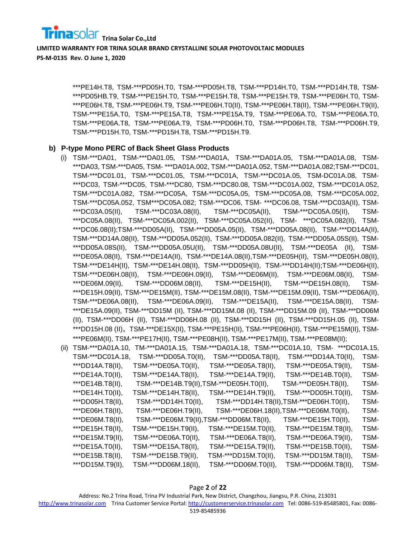

> \*\*\*PE14H.T8, TSM-\*\*\*PD05H.T0, TSM-\*\*\*PD05H.T8, TSM-\*\*\*PD14H.T0, TSM-\*\*\*PD14H.T8, TSM- \*\*\*PD05HB.T9, TSM-\*\*\*PE15H.T0, TSM-\*\*\*PE15H.T8, TSM-\*\*\*PE15H.T9, TSM-\*\*\*PE06H.T0, TSM- \*\*\*PE06H.T8, TSM-\*\*\*PE06H.T9, TSM-\*\*\*PE06H.T0(II), TSM-\*\*\*PE06H.T8(II), TSM-\*\*\*PE06H.T9(II), TSM-\*\*\*PE15A.T0, TSM-\*\*\*PE15A.T8, TSM-\*\*\*PE15A.T9, TSM-\*\*\*PE06A.T0, TSM-\*\*\*PE06A.T0, TSM-\*\*\*PE06A.T8, TSM-\*\*\*PE06A.T9, TSM-\*\*\*PD06H.T0, TSM-\*\*\*PD06H.T8, TSM-\*\*\*PD06H.T9, TSM-\*\*\*PD15H.T0, TSM-\*\*\*PD15H.T8, TSM-\*\*\*PD15H.T9.

#### **b) P-type Mono PERC of Back Sheet Glass Products**

(i) TSM-\*\*\*DA01, TSM-\*\*\*DA01.05, TSM-\*\*\*DA01A, TSM-\*\*\*DA01A.05, TSM-\*\*\*DA01A.08, TSM- \*\*\*DA03, TSM-\*\*\*DA05, TSM- \*\*\*DA01A.002, TSM-\*\*\*DA01A.052, TSM-\*\*\*DA01A.082;TSM-\*\*\*DC01, TSM-\*\*\*DC01.01, TSM-\*\*\*DC01.05, TSM-\*\*\*DC01A, TSM-\*\*\*DC01A.05, TSM-DC01A.08, TSM- \*\*\*DC03, TSM-\*\*\*DC05, TSM-\*\*\*DC80, TSM-\*\*\*DC80.08, TSM-\*\*\*DC01A.002, TSM-\*\*\*DC01A.052, TSM-\*\*\*DC01A.082, TSM-\*\*\*DC05A, TSM-\*\*\*DC05A.05, TSM-\*\*\*DC05A.08, TSM-\*\*\*DC05A.002, TSM-\*\*\*DC05A.052, TSM\*\*\*DC05A.082; TSM-\*\*\*DC06, TSM- \*\*\*DC06.08, TSM-\*\*\*DC03A(II), TSM- \*\*\*DC03A.05(II), TSM-\*\*\*DC03A.08(II), TSM-\*\*\*DC05A(II), TSM-\*\*\*DC05A.05(II), TSM- \*\*\*DC05A.08(II), TSM-\*\*\*DC05A.002(II), TSM-\*\*\*DC05A.052(II), TSM- \*\*\*DC05A.082(II), TSM- \*\*\*DC06.08(II);TSM-\*\*\*DD05A(II), TSM-\*\*\*DD05A.05(II), TSM-\*\*\*DD05A.08(II), TSM-\*\*\*DD14A(II), TSM-\*\*\*DD14A.08(II), TSM-\*\*\*DD05A.052(II), TSM-\*\*\*DD05A.082(II), TSM-\*\*\*DD05A.05S(II), TSM- \*\*\*DD05A.08S(II), TSM-\*\*\*DD05A.05U(II), TSM-\*\*\*DD05A.08U(II), TSM-\*\*\*DE05A (II), TSM- \*\*\*DE05A.08(II), TSM-\*\*\*DE14A(II), TSM-\*\*\*DE14A.08(II),TSM-\*\*\*DE05H(II), TSM-\*\*\*DE05H.08(II), TSM-\*\*\*DE14H(II), TSM-\*\*\*DE14H.08(II), TSM-\*\*\*DD05H(II), TSM-\*\*\*DD14H(II);TSM-\*\*\*DE06H(II), TSM-\*\*\*DE06H.08(II), TSM-\*\*\*DE06H.09(II), TSM-\*\*\*DE06M(II), TSM-\*\*\*DE06M.08(II), TSM- \*\*\*DE06M.09(II), TSM-\*\*\*DD06M.08(II), TSM-\*\*\*DE15H(II), TSM-\*\*\*DE15H.08(II), TSM- \*\*\*DE15H.09(II), TSM-\*\*\*DE15M(II), TSM-\*\*\*DE15M.08(II), TSM-\*\*\*DE15M.09(II), TSM-\*\*\*DE06A(II), TSM-\*\*\*DE06A.08(II), TSM-\*\*\*DE06A.09(II), TSM-\*\*\*DE15A(II), TSM-\*\*\*DE15A.08(II), TSM- \*\*\*DE15A.09(II), TSM-\*\*\*DD15M (II), TSM-\*\*\*DD15M.08 (II), TSM-\*\*\*DD15M.09 (II), TSM-\*\*\*DD06M (II), TSM-\*\*\*DD06H (II), TSM-\*\*\*DD06H.08 (II), TSM-\*\*\*DD15H (II), TSM-\*\*\*DD15H.05 (II), TSM- \*\*\*DD15H.08 (II),TSM-\*\*\*DE15X(II), TSM-\*\*\*PE15H(II), TSM-\*\*\*PE06H(II), TSM-\*\*\*PE15M(II), TSM- \*\*\*PE06M(II), TSM-\*\*\*PE17H(II), TSM-\*\*\*PE08H(II), TSM-\*\*\*PE17M(II), TSM-\*\*\*PE08M(II);

| (ii) | TSM-***DA01A.10, |                                          |                      | TM-***DA01A.15, TSM-***DA01A.18, TSM-***DC01A.10, TSM- ***DC01A.15, |      |
|------|------------------|------------------------------------------|----------------------|---------------------------------------------------------------------|------|
|      | TSM-***DC01A.18, | TSM-***DD05A.T0(II),                     | TSM-***DD05A.T8(II), | TSM-***DD14A.T0(II),                                                | TSM- |
|      | ***DD14A.T8(II), | TSM-***DE05A.T0(II),                     | TSM-***DE05A.T8(II), | TSM-***DE05A.T9(II),                                                | TSM- |
|      | ***DE14A.T0(II), | TSM-***DE14A.T8(II),                     | TSM-***DE14A.T9(II), | TSM-***DE14B.T0(II),                                                | TSM- |
|      | ***DE14B.T8(II), | TSM-***DE14B.T9(II),TSM-***DE05H.T0(II), |                      | TSM-***DE05H.T8(II),                                                | TSM- |
|      | ***DE14H.T0(II), | TSM-***DE14H.T8(II),                     | TSM-***DE14H.T9(II), | TSM-***DD05H.T0(II),                                                | TSM- |
|      | ***DD05H.T8(II), | TSM-***DD14H.T0(II),                     |                      | TSM-***DD14H.T8(II),TSM-***DE06H.T0(II),                            | TSM- |
|      | ***DE06H.T8(II), | TSM-***DE06H.T9(II),                     |                      | TSM-***DE06H.18(II),TSM-***DE06M.T0(II),                            | TSM- |
|      | ***DE06M.T8(II), | TSM-***DE06M.T9(II),TSM-***DD06M.T8(II), |                      | TSM-***DE15H.T0(II),                                                | TSM- |
|      | ***DE15H.T8(II), | TSM-***DE15H.T9(II),                     | TSM-***DE15M.T0(II), | TSM-***DE15M.T8(II),                                                | TSM- |
|      | ***DE15M.T9(II), | TSM-***DE06A.T0(II),                     | TSM-***DE06A.T8(II), | TSM-***DE06A.T9(II),                                                | TSM- |
|      | ***DE15A.T0(II), | TSM-***DE15A.T8(II),                     | TSM-***DE15A.T9(II), | TSM-***DE15B.T0(II),                                                | TSM- |
|      | ***DE15B.T8(II), | TSM-***DE15B.T9(II),                     | TSM-***DD15M.T0(II), | TSM-***DD15M.T8(II),                                                | TSM- |
|      | ***DD15M.T9(II), | TSM-***DD06M.18(II),                     | TSM-***DD06M.T0(II), | TSM-***DD06M.T8(II),                                                | TSM- |

Page **2** of **22**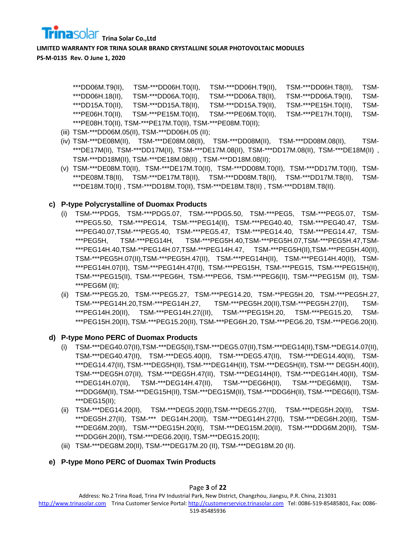

> \*\*\*DD06M.T9(II), TSM-\*\*\*DD06H.T0(II), TSM-\*\*\*DD06H.T9(II), TSM-\*\*\*DD06H.T8(II), TSM- \*\*\*DD06H.18(II), TSM-\*\*\*DD06A.T0(II), TSM-\*\*\*DD06A.T8(II), TSM-\*\*\*DD06A.T9(II), TSM- \*\*\*DD15A.T0(II), TSM-\*\*\*DD15A.T8(II), TSM-\*\*\*DD15A.T9(II), TSM-\*\*\*PE15H.T0(II), TSM- \*\*\*PE06H.T0(II), TSM-\*\*\*PE15M.T0(II), TSM-\*\*\*PE06M.T0(II), TSM-\*\*\*PE17H.T0(II), TSM- \*\*\*PE08H.T0(II), TSM-\*\*\*PE17M.T0(II), TSM-\*\*\*PE08M.T0(II);

- (iii) TSM-\*\*\*DD06M.05(II), TSM-\*\*\*DD06H.05 (II);
- (iv) TSM-\*\*\*DE08M(II), TSM-\*\*\*DE08M.08(II), TSM-\*\*\*DD08M(II), TSM-\*\*\*DD08M.08(II), TSM- \*\*\*DE17M(II), TSM-\*\*\*DD17M(II), TSM-\*\*\*DE17M.08(II), TSM-\*\*\*DD17M.08(II), TSM-\*\*\*DE18M(II) , TSM-\*\*\*DD18M(II), TSM-\*\*\*DE18M.08(II) , TSM-\*\*\*DD18M.08(II);
- (v) TSM-\*\*\*DE08M.T0(II), TSM-\*\*\*DE17M.T0(II), TSM-\*\*\*DD08M.T0(II), TSM-\*\*\*DD17M.T0(II), TSM- \*\*\*DE08M.T8(II), TSM-\*\*\*DE17M.T8(II), TSM-\*\*\*DD08M.T8(II), TSM-\*\*\*DD17M.T8(II), TSM- \*\*\*DE18M.T0(II) , TSM-\*\*\*DD18M.T0(II), TSM-\*\*\*DE18M.T8(II) , TSM-\*\*\*DD18M.T8(II).

# **c) P-type Polycrystalline of Duomax Products**

- (i) TSM-\*\*\*PDG5, TSM-\*\*\*PDG5.07, TSM-\*\*\*PDG5.50, TSM-\*\*\*PEG5, TSM-\*\*\*PEG5.07, TSM- \*\*\*PEG5.50, TSM-\*\*\*PEG14, TSM-\*\*\*PEG14(II), TSM-\*\*\*PEG40.40, TSM-\*\*\*PEG40.47, TSM- \*\*\*PEG40.07,TSM-\*\*\*PEG5.40, TSM-\*\*\*PEG5.47, TSM-\*\*\*PEG14.40, TSM-\*\*\*PEG14.47, TSM- \*\*\*PEG5H, TSM-\*\*\*PEG14H, TSM-\*\*\*PEG5H.40,TSM-\*\*\*PEG5H.07,TSM-\*\*\*PEG5H.47,TSM- \*\*\*PEG14H.40,TSM-\*\*PEG14H.07,TSM-\*\*\*PEG14H.47, TSM-\*\*\*PEG5H(II),TSM-\*\*\*PEG5H.40(II), TSM-\*\*\*PEG5H.07(II),TSM-\*\*\*PEG5H.47(II), TSM-\*\*\*PEG14H(II), TSM-\*\*\*PEG14H.40(II), TSM- \*\*\*PEG14H.07(II), TSM-\*\*\*PEG14H.47(II), TSM-\*\*\*PEG15H, TSM-\*\*\*PEG15, TSM-\*\*\*PEG15H(II), TSM-\*\*\*PEG15(II), TSM-\*\*\*PEG6H, TSM-\*\*\*PEG6, TSM-\*\*\*PEG6(II), TSM-\*\*\*PEG15M (II), TSM- \*\*\*PEG6M (II);
- (ii) TSM-\*\*\*PEG5.20, TSM-\*\*\*PEG5.27, TSM-\*\*\*PEG14.20, TSM-\*\*PEG5H.20, TSM-\*\*\*PEG5H.27, TSM-\*\*\*PEG14H.20,TSM-\*\*\*PEG14H.27, TSM-\*\*\*PEG5H.20(II),TSM-\*\*\*PEG5H.27(II), TSM- \*\*\*PEG14H.20(II), TSM-\*\*\*PEG14H.27((II), TSM-\*\*\*PEG15H.20, TSM-\*\*\*PEG15.20, TSM- \*\*\*PEG15H.20(II), TSM-\*\*\*PEG15.20(II), TSM-\*\*\*PEG6H.20, TSM-\*\*\*PEG6.20, TSM-\*\*\*PEG6.20(II).

# **d) P-type Mono PERC of Duomax Products**

- (i) TSM-\*\*\*DEG40.07(II),TSM-\*\*\*DEG5(II),TSM-\*\*\*DEG5.07(II),TSM-\*\*\*DEG14(II),TSM-\*\*DEG14.07(II), TSM-\*\*\*DEG40.47(II), TSM-\*\*\*DEG5.40(II), TSM-\*\*\*DEG5.47(II), TSM-\*\*\*DEG14.40(II), TSM- \*\*\*DEG14.47(II), TSM-\*\*\*DEG5H(II), TSM-\*\*\*DEG14H(II), TSM-\*\*\*DEG5H(II), TSM-\*\*\* DEG5H.40(II), TSM-\*\*\*DEG5H.07(II), TSM-\*\*\*DEG5H.47(II), TSM-\*\*\*DEG14H(II), TSM-\*\*\*DEG14H.40(II), TSM- \*\*\*DEG14H.07(II), TSM-\*\*\*DEG14H.47(II), TSM-\*\*\*DEG6H(II), TSM-\*\*\*DEG6M(II), TSM- \*\*\*DDG6M(II), TSM-\*\*\*DEG15H(II), TSM-\*\*\*DEG15M(II), TSM-\*\*\*DDG6H(II), TSM-\*\*\*DEG6(II), TSM- \*\*\*DEG15(II);
- (ii) TSM-\*\*\*DEG14.20(II), TSM-\*\*\*DEG5.20(II),TSM-\*\*\*DEG5.27(II), TSM-\*\*\*DEG5H.20(II), TSM- \*\*\*DEG5H.27(II), TSM-\*\*\* DEG14H.20(II), TSM-\*\*\*DEG14H.27(II), TSM-\*\*\*DEG6H.20(II), TSM- \*\*\*DEG6M.20(II), TSM-\*\*\*DEG15H.20(II), TSM-\*\*\*DEG15M.20(II), TSM-\*\*\*DDG6M.20(II), TSM- \*\*\*DDG6H.20(II), TSM-\*\*\*DEG6.20(II), TSM-\*\*\*DEG15.20(II);
- (iii) TSM-\*\*\*DEG8M.20(II), TSM-\*\*\*DEG17M.20 (II), TSM-\*\*\*DEG18M.20 (II).

# **e) P-type Mono PERC of Duomax Twin Products**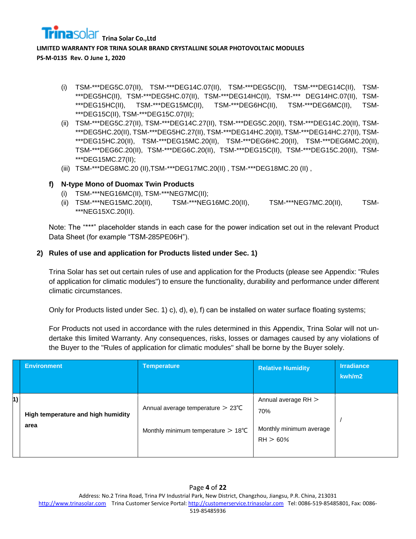- (i) TSM-\*\*\*DEG5C.07(II), TSM-\*\*\*DEG14C.07(II), TSM-\*\*\*DEG5C(II), TSM-\*\*\*DEG14C(II), TSM- \*\*\*DEG5HC(II), TSM-\*\*\*DEG5HC.07(II), TSM-\*\*\*DEG14HC(II), TSM-\*\*\* DEG14HC.07(II), TSM- \*\*\*DEG15HC(II), TSM-\*\*\*DEG15MC(II), TSM-\*\*\*DEG6HC(II), TSM-\*\*\*DEG6MC(II), TSM- \*\*\*DEG15C(II), TSM-\*\*\*DEG15C.07(II);
- (ii) TSM-\*\*\*DEG5C.27(II), TSM-\*\*\*DEG14C.27(II), TSM-\*\*\*DEG5C.20(II), TSM-\*\*\*DEG14C.20(II), TSM- \*\*\*DEG5HC.20(II), TSM-\*\*\*DEG5HC.27(II), TSM-\*\*\*DEG14HC.20(II), TSM-\*\*\*DEG14HC.27(II), TSM- \*\*\*DEG15HC.20(II), TSM-\*\*\*DEG15MC.20(II), TSM-\*\*\*DEG6HC.20(II), TSM-\*\*\*DEG6MC.20(II), TSM-\*\*\*DEG6C.20(II), TSM-\*\*\*DEG6C.20(II), TSM-\*\*\*DEG15C(II), TSM-\*\*\*DEG15C.20(II), TSM- \*\*\*DEG15MC.27(II);
- (iii) TSM-\*\*\*DEG8MC.20 (II),TSM-\*\*\*DEG17MC.20(II) , TSM-\*\*\*DEG18MC.20 (II) ,

#### **f) N-type Mono of Duomax Twin Products**

- (i) TSM-\*\*\*NEG16MC(II), TSM-\*\*\*NEG7MC(II);
- (ii) TSM-\*\*\*NEG15MC.20(II), TSM-\*\*\*NEG16MC.20(II), TSM-\*\*\*NEG7MC.20(II), TSM- \*\*\*NEG15XC.20(II).

Note: The "\*\*\*" placeholder stands in each case for the power indication set out in the relevant Product Data Sheet (for example "TSM-285PE06H").

#### **2) Rules of use and application for Products listed under Sec. 1)**

Trina Solar has set out certain rules of use and application for the Products (please see Appendix: "Rules of application for climatic modules") to ensure the functionality, durability and performance under different climatic circumstances.

Only for Products listed under Sec. 1) c), d), e), f) can be installed on water surface floating systems;

For Products not used in accordance with the rules determined in this Appendix, Trina Solar will not undertake this limited Warranty. Any consequences, risks, losses or damages caused by any violations of the Buyer to the "Rules of application for climatic modules" shall be borne by the Buyer solely.

|    | <b>Environment</b>                         | <b>Temperature</b>                                                                          | <b>Relative Humidity</b>                                          | <b>Irradiance</b><br>kwh/m2 |
|----|--------------------------------------------|---------------------------------------------------------------------------------------------|-------------------------------------------------------------------|-----------------------------|
| 1) | High temperature and high humidity<br>area | Annual average temperature $> 23^{\circ}$ C<br>Monthly minimum temperature $> 18^{\circ}$ C | Annual average $RH$<br>70%<br>Monthly minimum average<br>RH > 60% |                             |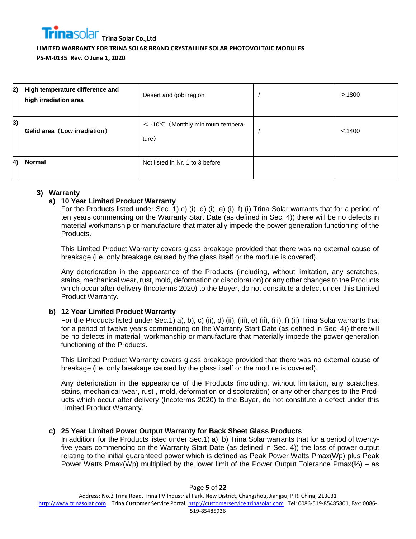| 2)        | High temperature difference and<br>high irradiation area | Desert and gobi region                             | >1800  |
|-----------|----------------------------------------------------------|----------------------------------------------------|--------|
| 3)        | Gelid area (Low irradiation)                             | $\langle$ -10°C (Monthly minimum tempera-<br>ture) | < 1400 |
| <b>4)</b> | <b>Normal</b>                                            | Not listed in Nr. 1 to 3 before                    |        |

#### **3) Warranty**

#### **a) 10 Year Limited Product Warranty**

For the Products listed under Sec. 1) c) (i), d) (i), e) (i), f) (i) Trina Solar warrants that for a period of ten years commencing on the Warranty Start Date (as defined in Sec. 4)) there will be no defects in material workmanship or manufacture that materially impede the power generation functioning of the Products.

This Limited Product Warranty covers glass breakage provided that there was no external cause of breakage (i.e. only breakage caused by the glass itself or the module is covered).

Any deterioration in the appearance of the Products (including, without limitation, any scratches, stains, mechanical wear, rust, mold, deformation or discoloration) or any other changes to the Products which occur after delivery (Incoterms 2020) to the Buyer, do not constitute a defect under this Limited Product Warranty.

#### **b) 12 Year Limited Product Warranty**

For the Products listed under Sec.1) a), b), c) (ii), d) (ii), (iii), e) (ii), (iii), f) (ii) Trina Solar warrants that for a period of twelve years commencing on the Warranty Start Date (as defined in Sec. 4)) there will be no defects in material, workmanship or manufacture that materially impede the power generation functioning of the Products.

This Limited Product Warranty covers glass breakage provided that there was no external cause of breakage (i.e. only breakage caused by the glass itself or the module is covered).

Any deterioration in the appearance of the Products (including, without limitation, any scratches, stains, mechanical wear, rust , mold, deformation or discoloration) or any other changes to the Products which occur after delivery (Incoterms 2020) to the Buyer, do not constitute a defect under this Limited Product Warranty.

#### **c) 25 Year Limited Power Output Warranty for Back Sheet Glass Products**

In addition, for the Products listed under Sec.1) a), b) Trina Solar warrants that for a period of twentyfive years commencing on the Warranty Start Date (as defined in Sec. 4)) the loss of power output relating to the initial guaranteed power which is defined as Peak Power Watts Pmax(Wp) plus Peak Power Watts Pmax(Wp) multiplied by the lower limit of the Power Output Tolerance Pmax(%) – as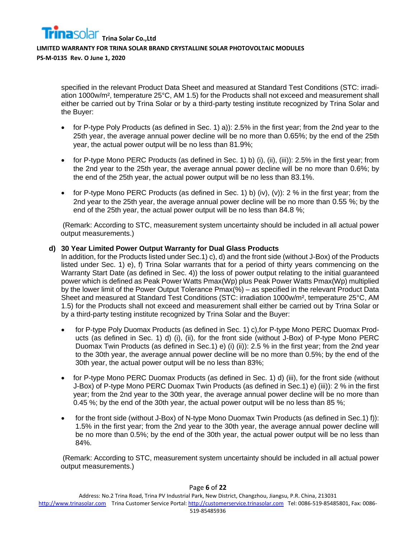specified in the relevant Product Data Sheet and measured at Standard Test Conditions (STC: irradiation 1000w/m², temperature 25°C, AM 1.5) for the Products shall not exceed and measurement shall either be carried out by Trina Solar or by a third-party testing institute recognized by Trina Solar and the Buyer:

- for P-type Poly Products (as defined in Sec. 1) a)): 2.5% in the first year; from the 2nd year to the 25th year, the average annual power decline will be no more than 0.65%; by the end of the 25th year, the actual power output will be no less than 81.9%;
- for P-type Mono PERC Products (as defined in Sec. 1) b) (i), (ii), (iii)): 2.5% in the first year; from the 2nd year to the 25th year, the average annual power decline will be no more than 0.6%; by the end of the 25th year, the actual power output will be no less than 83.1%.
- for P-type Mono PERC Products (as defined in Sec. 1) b) (iv), (v)): 2 % in the first year; from the 2nd year to the 25th year, the average annual power decline will be no more than 0.55 %; by the end of the 25th year, the actual power output will be no less than 84.8 %;

(Remark: According to STC, measurement system uncertainty should be included in all actual power output measurements.)

#### **d) 30 Year Limited Power Output Warranty for Dual Glass Products**

In addition, for the Products listed under Sec.1) c), d) and the front side (without J-Box) of the Products listed under Sec. 1) e), f) Trina Solar warrants that for a period of thirty years commencing on the Warranty Start Date (as defined in Sec. 4)) the loss of power output relating to the initial guaranteed power which is defined as Peak Power Watts Pmax(Wp) plus Peak Power Watts Pmax(Wp) multiplied by the lower limit of the Power Output Tolerance Pmax(%) – as specified in the relevant Product Data Sheet and measured at Standard Test Conditions (STC: irradiation 1000w/m², temperature 25°C, AM 1.5) for the Products shall not exceed and measurement shall either be carried out by Trina Solar or by a third-party testing institute recognized by Trina Solar and the Buyer:

- for P-type Poly Duomax Products (as defined in Sec. 1) c),for P-type Mono PERC Duomax Products (as defined in Sec. 1) d) (i), (ii), for the front side (without J-Box) of P-type Mono PERC Duomax Twin Products (as defined in Sec.1) e) (i) (ii)): 2.5 % in the first year; from the 2nd year to the 30th year, the average annual power decline will be no more than 0.5%; by the end of the 30th year, the actual power output will be no less than 83%;
- for P-type Mono PERC Duomax Products (as defined in Sec. 1) d) (iii), for the front side (without J-Box) of P-type Mono PERC Duomax Twin Products (as defined in Sec.1) e) (iii)): 2 % in the first year; from the 2nd year to the 30th year, the average annual power decline will be no more than 0.45 %; by the end of the 30th year, the actual power output will be no less than 85 %;
- for the front side (without J-Box) of N-type Mono Duomax Twin Products (as defined in Sec.1) f)): 1.5% in the first year; from the 2nd year to the 30th year, the average annual power decline will be no more than 0.5%; by the end of the 30th year, the actual power output will be no less than 84%.

(Remark: According to STC, measurement system uncertainty should be included in all actual power output measurements.)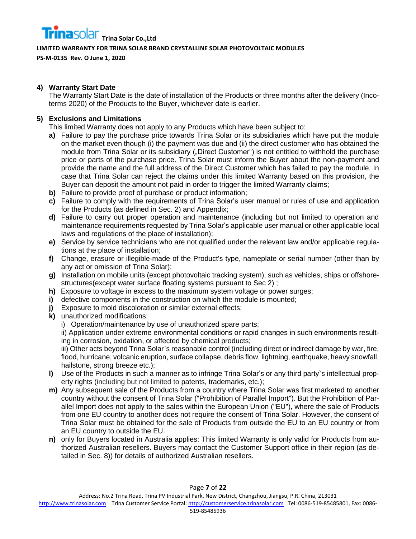

#### **LIMITED WARRANTY FOR TRINA SOLAR BRAND CRYSTALLINE SOLAR PHOTOVOLTAIC MODULES**

**PS-M-0135 Rev. O June 1, 2020**

#### **4) Warranty Start Date**

The Warranty Start Date is the date of installation of the Products or three months after the delivery (Incoterms 2020) of the Products to the Buyer, whichever date is earlier.

#### **5) Exclusions and Limitations**

This limited Warranty does not apply to any Products which have been subject to:

- **a)** Failure to pay the purchase price towards Trina Solar or its subsidiaries which have put the module on the market even though (i) the payment was due and (ii) the direct customer who has obtained the module from Trina Solar or its subsidiary ("Direct Customer") is not entitled to withhold the purchase price or parts of the purchase price. Trina Solar must inform the Buyer about the non-payment and provide the name and the full address of the Direct Customer which has failed to pay the module. In case that Trina Solar can reject the claims under this limited Warranty based on this provision, the Buyer can deposit the amount not paid in order to trigger the limited Warranty claims;
- **b)** Failure to provide proof of purchase or product information;
- **c)** Failure to comply with the requirements of Trina Solar's user manual or rules of use and application for the Products (as defined in Sec. 2) and Appendix;
- **d)** Failure to carry out proper operation and maintenance (including but not limited to operation and maintenance requirements requested by Trina Solar's applicable user manual or other applicable local laws and regulations of the place of installation);
- **e)** Service by service technicians who are not qualified under the relevant law and/or applicable regulations at the place of installation;
- **f)** Change, erasure or illegible-made of the Product's type, nameplate or serial number (other than by any act or omission of Trina Solar);
- **g)** Installation on mobile units (except photovoltaic tracking system), such as vehicles, ships or offshorestructures(except water surface floating systems pursuant to Sec 2) ;
- **h)** Exposure to voltage in excess to the maximum system voltage or power surges;
- **i)** defective components in the construction on which the module is mounted;
- **j)** Exposure to mold discoloration or similar external effects;
- **k)** unauthorized modifications:
	- i) Operation/maintenance by use of unauthorized spare parts;

ii) Application under extreme environmental conditions or rapid changes in such environments resulting in corrosion, oxidation, or affected by chemical products;

iii) Other acts beyond Trina Solar`s reasonable control (including direct or indirect damage by war, fire, flood, hurricane, volcanic eruption, surface collapse, debris flow, lightning, earthquake, heavy snowfall, hailstone, strong breeze etc.);

- **l)** Use of the Products in such a manner as to infringe Trina Solar's or any third party`s intellectual property rights (including but not limited to patents, trademarks, etc.);
- **m)** Any subsequent sale of the Products from a country where Trina Solar was first marketed to another country without the consent of Trina Solar ("Prohibition of Parallel Import"). But the Prohibition of Parallel Import does not apply to the sales within the European Union ("EU"), where the sale of Products from one EU country to another does not require the consent of Trina Solar. However, the consent of Trina Solar must be obtained for the sale of Products from outside the EU to an EU country or from an EU country to outside the EU.
- **n)** only for Buyers located in Australia applies: This limited Warranty is only valid for Products from authorized Australian resellers. Buyers may contact the Customer Support office in their region (as detailed in Sec. 8)) for details of authorized Australian resellers.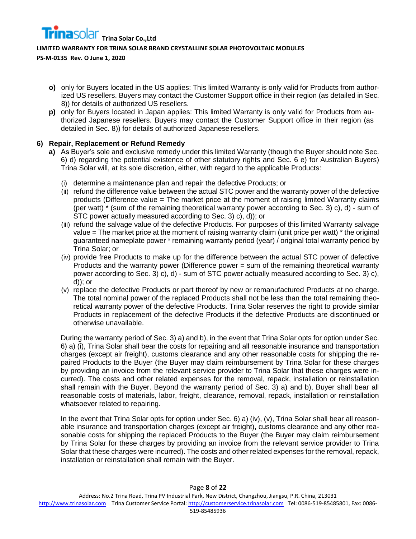**Trina** Solar Trina Solar Co., Ltd

**LIMITED WARRANTY FOR TRINA SOLAR BRAND CRYSTALLINE SOLAR PHOTOVOLTAIC MODULES** 

**PS-M-0135 Rev. O June 1, 2020**

- **o)** only for Buyers located in the US applies: This limited Warranty is only valid for Products from authorized US resellers. Buyers may contact the Customer Support office in their region (as detailed in Sec. 8)) for details of authorized US resellers.
- **p)** only for Buyers located in Japan applies: This limited Warranty is only valid for Products from authorized Japanese resellers. Buyers may contact the Customer Support office in their region (as detailed in Sec. 8)) for details of authorized Japanese resellers.

#### **6) Repair, Replacement or Refund Remedy**

- **a)** As Buyer's sole and exclusive remedy under this limited Warranty (though the Buyer should note Sec. 6) d) regarding the potential existence of other statutory rights and Sec. 6 e) for Australian Buyers) Trina Solar will, at its sole discretion, either, with regard to the applicable Products:
	- (i) determine a maintenance plan and repair the defective Products; or
	- (ii) refund the difference value between the actual STC power and the warranty power of the defective products (Difference value = The market price at the moment of raising limited Warranty claims (per watt) \* (sum of the remaining theoretical warranty power according to Sec. 3) c), d) - sum of STC power actually measured according to Sec. 3) c), d)); or
	- (iii) refund the salvage value of the defective Products. For purposes of this limited Warranty salvage value = The market price at the moment of raising warranty claim (unit price per watt) \* the original guaranteed nameplate power \* remaining warranty period (year) / original total warranty period by Trina Solar; or
	- (iv) provide free Products to make up for the difference between the actual STC power of defective Products and the warranty power (Difference power = sum of the remaining theoretical warranty power according to Sec. 3) c), d) - sum of STC power actually measured according to Sec. 3) c), d)); or
	- (v) replace the defective Products or part thereof by new or remanufactured Products at no charge. The total nominal power of the replaced Products shall not be less than the total remaining theoretical warranty power of the defective Products. Trina Solar reserves the right to provide similar Products in replacement of the defective Products if the defective Products are discontinued or otherwise unavailable.

During the warranty period of Sec. 3) a) and b), in the event that Trina Solar opts for option under Sec. 6) a) (i), Trina Solar shall bear the costs for repairing and all reasonable insurance and transportation charges (except air freight), customs clearance and any other reasonable costs for shipping the repaired Products to the Buyer (the Buyer may claim reimbursement by Trina Solar for these charges by providing an invoice from the relevant service provider to Trina Solar that these charges were incurred). The costs and other related expenses for the removal, repack, installation or reinstallation shall remain with the Buyer. Beyond the warranty period of Sec. 3) a) and b), Buyer shall bear all reasonable costs of materials, labor, freight, clearance, removal, repack, installation or reinstallation whatsoever related to repairing.

In the event that Trina Solar opts for option under Sec. 6) a) (iv), (v), Trina Solar shall bear all reasonable insurance and transportation charges (except air freight), customs clearance and any other reasonable costs for shipping the replaced Products to the Buyer (the Buyer may claim reimbursement by Trina Solar for these charges by providing an invoice from the relevant service provider to Trina Solar that these charges were incurred). The costs and other related expenses for the removal, repack, installation or reinstallation shall remain with the Buyer.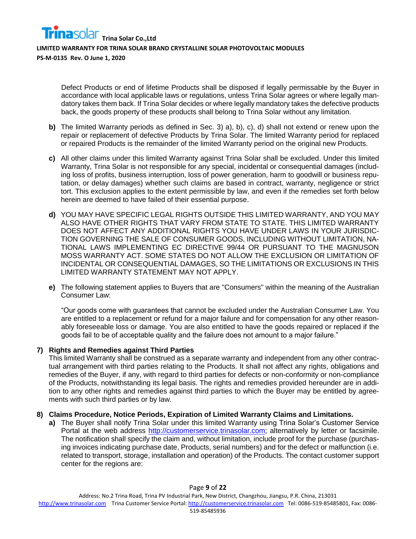Defect Products or end of lifetime Products shall be disposed if legally permissable by the Buyer in accordance with local applicable laws or regulations, unless Trina Solar agrees or where legally mandatory takes them back. If Trina Solar decides or where legally mandatory takes the defective products back, the goods property of these products shall belong to Trina Solar without any limitation.

- **b)** The limited Warranty periods as defined in Sec. 3) a), b), c), d) shall not extend or renew upon the repair or replacement of defective Products by Trina Solar. The limited Warranty period for replaced or repaired Products is the remainder of the limited Warranty period on the original new Products.
- **c)** All other claims under this limited Warranty against Trina Solar shall be excluded. Under this limited Warranty, Trina Solar is not responsible for any special, incidental or consequential damages (including loss of profits, business interruption, loss of power generation, harm to goodwill or business reputation, or delay damages) whether such claims are based in contract, warranty, negligence or strict tort. This exclusion applies to the extent permissible by law, and even if the remedies set forth below herein are deemed to have failed of their essential purpose.
- **d)** YOU MAY HAVE SPECIFIC LEGAL RIGHTS OUTSIDE THIS LIMITED WARRANTY, AND YOU MAY ALSO HAVE OTHER RIGHTS THAT VARY FROM STATE TO STATE. THIS LIMITED WARRANTY DOES NOT AFFECT ANY ADDITIONAL RIGHTS YOU HAVE UNDER LAWS IN YOUR JURISDIC-TION GOVERNING THE SALE OF CONSUMER GOODS, INCLUDING WITHOUT LIMITATION, NA-TIONAL LAWS IMPLEMENTING EC DIRECTIVE 99/44 OR PURSUANT TO THE MAGNUSON MOSS WARRANTY ACT. SOME STATES DO NOT ALLOW THE EXCLUSION OR LIMITATION OF INCIDENTAL OR CONSEQUENTIAL DAMAGES, SO THE LIMITATIONS OR EXCLUSIONS IN THIS LIMITED WARRANTY STATEMENT MAY NOT APPLY.
- **e)** The following statement applies to Buyers that are "Consumers" within the meaning of the Australian Consumer Law:

"Our goods come with guarantees that cannot be excluded under the Australian Consumer Law. You are entitled to a replacement or refund for a major failure and for compensation for any other reasonably foreseeable loss or damage. You are also entitled to have the goods repaired or replaced if the goods fail to be of acceptable quality and the failure does not amount to a major failure."

#### **7) Rights and Remedies against Third Parties**

This limited Warranty shall be construed as a separate warranty and independent from any other contractual arrangement with third parties relating to the Products. It shall not affect any rights, obligations and remedies of the Buyer, if any, with regard to third parties for defects or non-conformity or non-compliance of the Products, notwithstanding its legal basis. The rights and remedies provided hereunder are in addition to any other rights and remedies against third parties to which the Buyer may be entitled by agreements with such third parties or by law.

#### **8) Claims Procedure, Notice Periods, Expiration of Limited Warranty Claims and Limitations.**

**a)** The Buyer shall notify Trina Solar under this limited Warranty using Trina Solar's Customer Service Portal at the web address [http://customerservice.trinasolar.com;](http://customerservice.trinasolar.com/) alternatively by letter or facsimile. The notification shall specify the claim and, without limitation, include proof for the purchase (purchasing invoices indicating purchase date, Products, serial numbers) and for the defect or malfunction (i.e. related to transport, storage, installation and operation) of the Products. The contact customer support center for the regions are: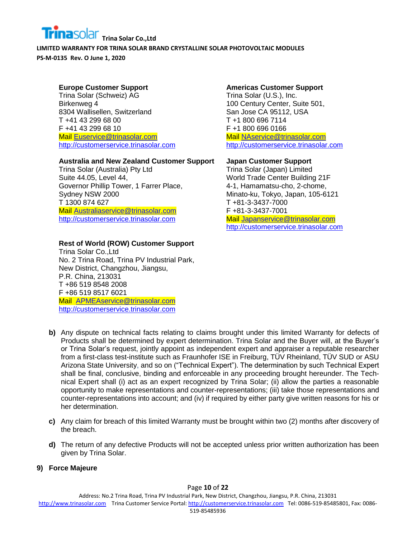# **Trina Solar Co.,Ltd**

**LIMITED WARRANTY FOR TRINA SOLAR BRAND CRYSTALLINE SOLAR PHOTOVOLTAIC MODULES PS-M-0135 Rev. O June 1, 2020**

# **Europe Customer Support**

Trina Solar (Schweiz) AG Birkenweg 4 8304 Wallisellen, Switzerland T +41 43 299 68 00 F +41 43 299 68 10 Mail [Euservice@trinasolar.com](mailto:Euservice@trinasolar.com) [http://customerservice.trinasolar.com](http://customerservice.trinasolar.com/)

#### **Australia and New Zealand Customer Support**

Trina Solar (Australia) Pty Ltd Suite 44.05, Level 44, Governor Phillip Tower, 1 Farrer Place, Sydney NSW 2000 T 1300 874 627 Mail [Australiaservice@trinasolar.com](mailto:Australiaservice@trinasolar.com) [http://customerservice.trinasolar.com](http://customerservice.trinasolar.com/)

# **Rest of World (ROW) Customer Support**

Trina Solar Co.,Ltd No. 2 Trina Road, Trina PV Industrial Park, New District, Changzhou, Jiangsu, P.R. China, 213031 T +86 519 8548 2008 F +86 519 8517 6021 Mail [APMEAservice@trinasolar.com](mailto:APMEAservice@trinasolar.com) [http://customerservice.trinasolar.com](http://customerservice.trinasolar.com/)

#### **Americas Customer Support**

Trina Solar (U.S.), Inc. 100 Century Center, Suite 501, San Jose CA 95112, USA T +1 800 696 7114 F +1 800 696 0166 Mail [NAservice@trinasolar.com](mailto:NAservice@trinasolar.com) [http://customerservice.trinasolar.com](http://customerservice.trinasolar.com/)

#### **Japan Customer Support**

Trina Solar (Japan) Limited World Trade Center Building 21F 4-1, Hamamatsu-cho, 2-chome, Minato-ku, Tokyo, Japan, 105-6121 T +81-3-3437-7000 F +81-3-3437-7001 Mail [Japanservice@trinasolar.com](mailto:Japanservice@trinasolar.com) [http://customerservice.trinasolar.com](http://customerservice.trinasolar.com/)

- **b)** Any dispute on technical facts relating to claims brought under this limited Warranty for defects of Products shall be determined by expert determination. Trina Solar and the Buyer will, at the Buyer's or Trina Solar's request, jointly appoint as independent expert and appraiser a reputable researcher from a first-class test-institute such as Fraunhofer ISE in Freiburg, TÜV Rheinland, TÜV SUD or ASU Arizona State University, and so on ("Technical Expert"). The determination by such Technical Expert shall be final, conclusive, binding and enforceable in any proceeding brought hereunder. The Technical Expert shall (i) act as an expert recognized by Trina Solar; (ii) allow the parties a reasonable opportunity to make representations and counter-representations; (iii) take those representations and counter-representations into account; and (iv) if required by either party give written reasons for his or her determination.
- **c)** Any claim for breach of this limited Warranty must be brought within two (2) months after discovery of the breach.
- **d)** The return of any defective Products will not be accepted unless prior written authorization has been given by Trina Solar.

# **9) Force Majeure**

#### Page **10** of **22**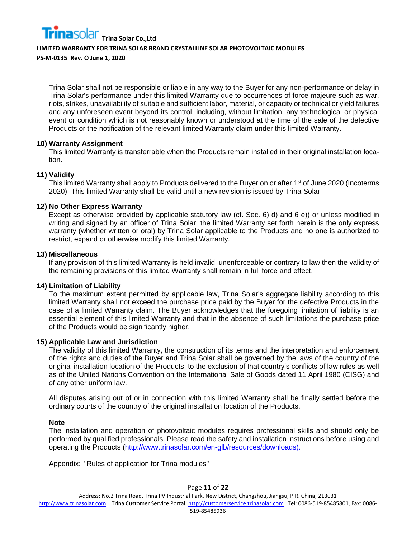**Trina** Solar Trina Solar Co., Ltd **LIMITED WARRANTY FOR TRINA SOLAR BRAND CRYSTALLINE SOLAR PHOTOVOLTAIC MODULES** 

**PS-M-0135 Rev. O June 1, 2020**

Trina Solar shall not be responsible or liable in any way to the Buyer for any non-performance or delay in Trina Solar's performance under this limited Warranty due to occurrences of force majeure such as war, riots, strikes, unavailability of suitable and sufficient labor, material, or capacity or technical or yield failures and any unforeseen event beyond its control, including, without limitation, any technological or physical event or condition which is not reasonably known or understood at the time of the sale of the defective Products or the notification of the relevant limited Warranty claim under this limited Warranty.

#### **10) Warranty Assignment**

This limited Warranty is transferrable when the Products remain installed in their original installation location.

#### **11) Validity**

This limited Warranty shall apply to Products delivered to the Buyer on or after 1<sup>st</sup> of June 2020 (Incoterms 2020). This limited Warranty shall be valid until a new revision is issued by Trina Solar.

#### **12) No Other Express Warranty**

Except as otherwise provided by applicable statutory law (cf. Sec. 6) d) and 6 e)) or unless modified in writing and signed by an officer of Trina Solar, the limited Warranty set forth herein is the only express warranty (whether written or oral) by Trina Solar applicable to the Products and no one is authorized to restrict, expand or otherwise modify this limited Warranty.

#### **13) Miscellaneous**

If any provision of this limited Warranty is held invalid, unenforceable or contrary to law then the validity of the remaining provisions of this limited Warranty shall remain in full force and effect.

#### **14) Limitation of Liability**

To the maximum extent permitted by applicable law, Trina Solar's aggregate liability according to this limited Warranty shall not exceed the purchase price paid by the Buyer for the defective Products in the case of a limited Warranty claim. The Buyer acknowledges that the foregoing limitation of liability is an essential element of this limited Warranty and that in the absence of such limitations the purchase price of the Products would be significantly higher.

#### **15) Applicable Law and Jurisdiction**

The validity of this limited Warranty, the construction of its terms and the interpretation and enforcement of the rights and duties of the Buyer and Trina Solar shall be governed by the laws of the country of the original installation location of the Products, to the exclusion of that country's conflicts of law rules as well as of the United Nations Convention on the International Sale of Goods dated 11 April 1980 (CISG) and of any other uniform law.

All disputes arising out of or in connection with this limited Warranty shall be finally settled before the ordinary courts of the country of the original installation location of the Products.

#### **Note**

The installation and operation of photovoltaic modules requires professional skills and should only be performed by qualified professionals. Please read the safety and installation instructions before using and operating the Products [\(http://www.trinasolar.com/en-glb/resources/downloads\)](http://www.trinasolar.com/en-glb/resources/downloads).

Appendix: "Rules of application for Trina modules"

#### Page **11** of **22**

Address: No.2 Trina Road, Trina PV Industrial Park, New District, Changzhou, Jiangsu, P.R. China, 213031

[http://www.trinasolar.com](http://www.trinasolar.com/) Trina Customer Service Portal[: http://customerservice.trinasolar.com](http://customerservice.trinasolar.com/) Tel: 0086-519-85485801, Fax: 0086-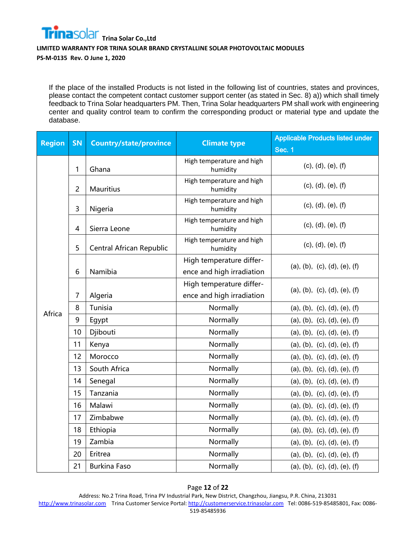

If the place of the installed Products is not listed in the following list of countries, states and provinces, please contact the competent contact customer support center (as stated in Sec. 8) a)) which shall timely feedback to Trina Solar headquarters PM. Then, Trina Solar headquarters PM shall work with engineering center and quality control team to confirm the corresponding product or material type and update the database.

| <b>Region</b> | <b>SN</b>      | <b>Country/state/province</b> | <b>Climate type</b>                   | <b>Applicable Products listed under</b> |
|---------------|----------------|-------------------------------|---------------------------------------|-----------------------------------------|
|               |                |                               |                                       | <b>Sec. 1</b>                           |
|               | 1              | Ghana                         | High temperature and high<br>humidity | (c), (d), (e), (f)                      |
|               | $\overline{2}$ | <b>Mauritius</b>              | High temperature and high<br>humidity | (c), (d), (e), (f)                      |
|               | 3              | Nigeria                       | High temperature and high<br>humidity | (c), (d), (e), (f)                      |
|               | $\overline{4}$ | Sierra Leone                  | High temperature and high<br>humidity | (c), (d), (e), (f)                      |
|               | 5              | Central African Republic      | High temperature and high<br>humidity | (c), (d), (e), (f)                      |
|               |                |                               | High temperature differ-              |                                         |
|               | 6              | Namibia                       | ence and high irradiation             | (a), (b), (c), (d), (e), (f)            |
|               |                |                               | High temperature differ-              |                                         |
|               | $\overline{7}$ | Algeria                       | ence and high irradiation             | (a), (b), (c), (d), (e), (f)            |
| Africa        | 8              | Tunisia                       | Normally                              | (a), (b), (c), (d), (e), (f)            |
|               | 9              | Egypt                         | Normally                              | (a), (b), (c), (d), (e), (f)            |
|               | 10             | Djibouti                      | Normally                              | (a), (b), (c), (d), (e), (f)            |
|               | 11             | Kenya                         | Normally                              | (a), (b), (c), (d), (e), (f)            |
|               | 12             | Morocco                       | Normally                              | (a), (b), (c), (d), (e), (f)            |
|               | 13             | South Africa                  | Normally                              | (a), (b), (c), (d), (e), (f)            |
|               | 14             | Senegal                       | Normally                              | (a), (b), (c), (d), (e), (f)            |
|               | 15             | Tanzania                      | Normally                              | (a), (b), (c), (d), (e), (f)            |
|               | 16             | Malawi                        | Normally                              | (a), (b), (c), (d), (e), (f)            |
|               | 17             | Zimbabwe                      | Normally                              | (a), (b), (c), (d), (e), (f)            |
|               | 18             | Ethiopia                      | Normally                              | (a), (b), (c), (d), (e), (f)            |
|               | 19             | Zambia                        | Normally                              | (a), (b), (c), (d), (e), (f)            |
|               | 20             | Eritrea                       | Normally                              | (a), (b), (c), (d), (e), (f)            |
|               | 21             | <b>Burkina Faso</b>           | Normally                              | (a), (b), (c), (d), (e), (f)            |

#### Page **12** of **22**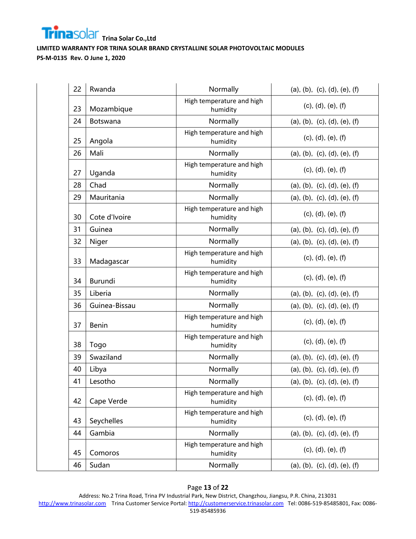

| 22 | Rwanda<br>Normally |                                       | (a), (b), (c), (d), (e), (f) |
|----|--------------------|---------------------------------------|------------------------------|
| 23 | Mozambique         | High temperature and high<br>humidity | (c), (d), (e), (f)           |
| 24 | Botswana           | Normally                              | (a), (b), (c), (d), (e), (f) |
| 25 | Angola             | High temperature and high<br>humidity | (c), (d), (e), (f)           |
| 26 | Mali               | Normally                              | (a), (b), (c), (d), (e), (f) |
| 27 | Uganda             | High temperature and high<br>humidity | (c), (d), (e), (f)           |
| 28 | Chad               | Normally                              | (a), (b), (c), (d), (e), (f) |
| 29 | Mauritania         | Normally                              | (a), (b), (c), (d), (e), (f) |
| 30 | Cote d'Ivoire      | High temperature and high<br>humidity | (c), (d), (e), (f)           |
| 31 | Guinea             | Normally                              | (a), (b), (c), (d), (e), (f) |
| 32 | Niger              | Normally                              | (a), (b), (c), (d), (e), (f) |
| 33 | Madagascar         | High temperature and high<br>humidity | (c), (d), (e), (f)           |
| 34 | Burundi            | High temperature and high<br>humidity | (c), (d), (e), (f)           |
| 35 | Liberia            | Normally                              | (a), (b), (c), (d), (e), (f) |
| 36 | Guinea-Bissau      | Normally                              | (a), (b), (c), (d), (e), (f) |
| 37 | <b>Benin</b>       | High temperature and high<br>humidity | (c), (d), (e), (f)           |
| 38 | Togo               | High temperature and high<br>humidity | (c), (d), (e), (f)           |
| 39 | Swaziland          | Normally                              | (a), (b), (c), (d), (e), (f) |
| 40 | Libya              | Normally                              | (a), (b), (c), (d), (e), (f) |
| 41 | Lesotho            | Normally                              | (a), (b), (c), (d), (e), (f) |
| 42 | Cape Verde         | High temperature and high<br>humidity | (c), (d), (e), (f)           |
| 43 | Seychelles         | High temperature and high<br>humidity | (c), (d), (e), (f)           |
| 44 | Gambia             | Normally                              | (a), (b), (c), (d), (e), (f) |
| 45 | Comoros            | High temperature and high<br>humidity | (c), (d), (e), (f)           |
| 46 | Sudan              | Normally                              | (a), (b), (c), (d), (e), (f) |

#### Page **13** of **22**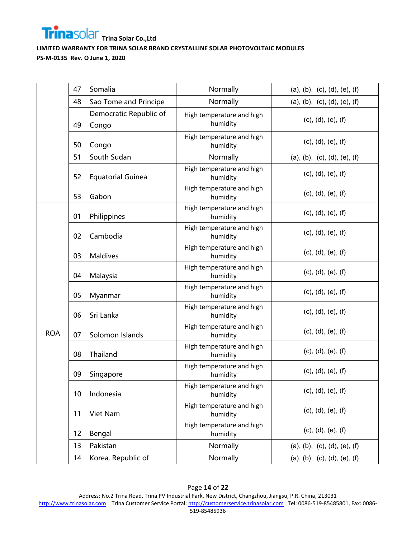

|            | 47 | Somalia                         | Normally                              | (a), (b), (c), (d), (e), (f) |
|------------|----|---------------------------------|---------------------------------------|------------------------------|
|            | 48 | Sao Tome and Principe           | Normally                              | (a), (b), (c), (d), (e), (f) |
|            | 49 | Democratic Republic of<br>Congo | High temperature and high<br>humidity | (c), (d), (e), (f)           |
|            | 50 | Congo                           | High temperature and high<br>humidity | (c), (d), (e), (f)           |
|            | 51 | South Sudan                     | Normally                              | (a), (b), (c), (d), (e), (f) |
|            | 52 | <b>Equatorial Guinea</b>        | High temperature and high<br>humidity | (c), (d), (e), (f)           |
|            | 53 | Gabon                           | High temperature and high<br>humidity | (c), (d), (e), (f)           |
|            | 01 | Philippines                     | High temperature and high<br>humidity | (c), (d), (e), (f)           |
|            | 02 | Cambodia                        | High temperature and high<br>humidity | (c), (d), (e), (f)           |
|            | 03 | <b>Maldives</b>                 | High temperature and high<br>humidity | (c), (d), (e), (f)           |
|            | 04 | Malaysia                        | High temperature and high<br>humidity | (c), (d), (e), (f)           |
|            | 05 | Myanmar                         | High temperature and high<br>humidity | (c), (d), (e), (f)           |
|            | 06 | Sri Lanka                       | High temperature and high<br>humidity | (c), (d), (e), (f)           |
| <b>ROA</b> | 07 | Solomon Islands                 | High temperature and high<br>humidity | (c), (d), (e), (f)           |
|            | 08 | Thailand                        | High temperature and high<br>humidity | (c), (d), (e), (f)           |
|            | 09 | Singapore                       | High temperature and high<br>humidity | (c), (d), (e), (f)           |
|            | 10 | Indonesia                       | High temperature and high<br>humidity | (c), (d), (e), (f)           |
|            | 11 | Viet Nam                        | High temperature and high<br>humidity | (c), (d), (e), (f)           |
|            | 12 | Bengal                          | High temperature and high<br>humidity | (c), (d), (e), (f)           |
|            | 13 | Pakistan                        | Normally                              | (a), (b), (c), (d), (e), (f) |
|            | 14 | Korea, Republic of              | Normally                              | (a), (b), (c), (d), (e), (f) |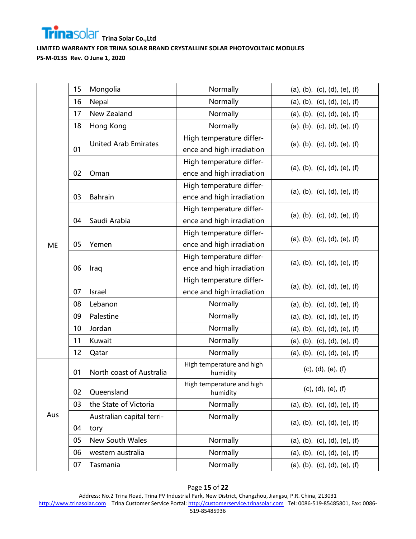

|           | 15 | Mongolia                    | Normally                              | (a), (b), (c), (d), (e), (f) |
|-----------|----|-----------------------------|---------------------------------------|------------------------------|
|           | 16 | Nepal                       | Normally                              | (a), (b), (c), (d), (e), (f) |
|           | 17 | New Zealand                 | Normally                              | (a), (b), (c), (d), (e), (f) |
|           | 18 | Hong Kong                   | Normally                              | (a), (b), (c), (d), (e), (f) |
|           |    | <b>United Arab Emirates</b> | High temperature differ-              | (a), (b), (c), (d), (e), (f) |
|           | 01 |                             | ence and high irradiation             |                              |
|           |    |                             | High temperature differ-              | (a), (b), (c), (d), (e), (f) |
|           | 02 | Oman                        | ence and high irradiation             |                              |
|           |    |                             | High temperature differ-              | (a), (b), (c), (d), (e), (f) |
|           | 03 | <b>Bahrain</b>              | ence and high irradiation             |                              |
|           |    |                             | High temperature differ-              | (a), (b), (c), (d), (e), (f) |
|           | 04 | Saudi Arabia                | ence and high irradiation             |                              |
|           |    |                             | High temperature differ-              | (a), (b), (c), (d), (e), (f) |
| <b>ME</b> | 05 | Yemen                       | ence and high irradiation             |                              |
|           |    |                             | High temperature differ-              | (a), (b), (c), (d), (e), (f) |
|           | 06 | Iraq                        | ence and high irradiation             |                              |
|           |    |                             | High temperature differ-              | (a), (b), (c), (d), (e), (f) |
|           | 07 | Israel                      | ence and high irradiation             |                              |
|           | 08 | Lebanon                     | Normally                              | (a), (b), (c), (d), (e), (f) |
|           | 09 | Palestine                   | Normally                              | (a), (b), (c), (d), (e), (f) |
|           | 10 | Jordan                      | Normally                              | (a), (b), (c), (d), (e), (f) |
|           | 11 | Kuwait                      | Normally                              | (a), (b), (c), (d), (e), (f) |
|           | 12 | Qatar                       | Normally                              | (a), (b), (c), (d), (e), (f) |
|           |    |                             | High temperature and high             | (c), (d), (e), (f)           |
|           | 01 | North coast of Australia    | humidity                              |                              |
|           | 02 | Queensland                  | High temperature and high<br>humidity | (c), (d), (e), (f)           |
|           | 03 | the State of Victoria       | Normally                              | (a), (b), (c), (d), (e), (f) |
| Aus       |    | Australian capital terri-   | Normally                              |                              |
|           | 04 | tory                        |                                       | (a), (b), (c), (d), (e), (f) |
|           | 05 | New South Wales             | Normally                              | (a), (b), (c), (d), (e), (f) |
|           | 06 | western australia           | Normally                              | (a), (b), (c), (d), (e), (f) |
|           | 07 | Tasmania                    | Normally                              | (a), (b), (c), (d), (e), (f) |

#### Page **15** of **22**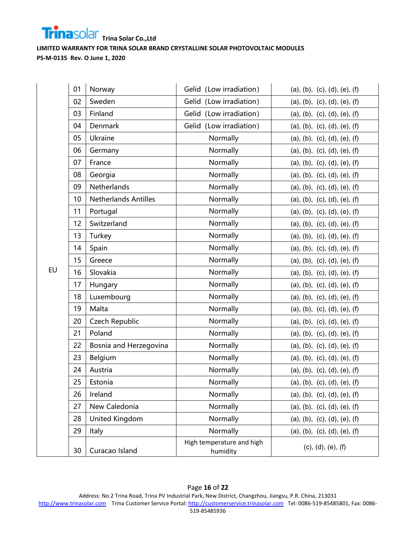

|    | 01 | Norway                      | Gelid (Low irradiation)               | (a), (b), (c), (d), (e), (f) |
|----|----|-----------------------------|---------------------------------------|------------------------------|
|    | 02 | Sweden                      | Gelid (Low irradiation)               | (a), (b), (c), (d), (e), (f) |
|    | 03 | Finland                     | Gelid (Low irradiation)               | (a), (b), (c), (d), (e), (f) |
|    | 04 | Denmark                     | Gelid (Low irradiation)               | (a), (b), (c), (d), (e), (f) |
|    | 05 | Ukraine                     | Normally                              | (a), (b), (c), (d), (e), (f) |
|    | 06 | Germany                     | Normally                              | (a), (b), (c), (d), (e), (f) |
|    | 07 | France                      | Normally                              | (a), (b), (c), (d), (e), (f) |
|    | 08 | Georgia                     | Normally                              | (a), (b), (c), (d), (e), (f) |
|    | 09 | Netherlands                 | Normally                              | (a), (b), (c), (d), (e), (f) |
|    | 10 | <b>Netherlands Antilles</b> | Normally                              | (a), (b), (c), (d), (e), (f) |
|    | 11 | Portugal                    | Normally                              | (a), (b), (c), (d), (e), (f) |
|    | 12 | Switzerland                 | Normally                              | (a), (b), (c), (d), (e), (f) |
|    | 13 | Turkey                      | Normally                              | (a), (b), (c), (d), (e), (f) |
|    | 14 | Spain                       | Normally                              | (a), (b), (c), (d), (e), (f) |
|    | 15 | Greece                      | Normally                              | (a), (b), (c), (d), (e), (f) |
| EU | 16 | Slovakia                    | Normally                              | (a), (b), (c), (d), (e), (f) |
|    | 17 | Hungary                     | Normally                              | (a), (b), (c), (d), (e), (f) |
|    | 18 | Luxembourg                  | Normally                              | (a), (b), (c), (d), (e), (f) |
|    | 19 | Malta                       | Normally                              | (a), (b), (c), (d), (e), (f) |
|    | 20 | Czech Republic              | Normally                              | (a), (b), (c), (d), (e), (f) |
|    | 21 | Poland                      | Normally                              | (a), (b), (c), (d), (e), (f) |
|    | 22 | Bosnia and Herzegovina      | Normally                              | (a), (b), (c), (d), (e), (f) |
|    | 23 | Belgium                     | Normally                              | (a), (b), (c), (d), (e), (f) |
|    | 24 | Austria                     | Normally                              | (a), (b), (c), (d), (e), (f) |
|    | 25 | Estonia                     | Normally                              | (a), (b), (c), (d), (e), (f) |
|    | 26 | Ireland                     | Normally                              | (a), (b), (c), (d), (e), (f) |
|    | 27 | New Caledonia               | Normally                              | (a), (b), (c), (d), (e), (f) |
|    | 28 | United Kingdom              | Normally                              | (a), (b), (c), (d), (e), (f) |
|    | 29 | Italy                       | Normally                              | (a), (b), (c), (d), (e), (f) |
|    | 30 | Curacao Island              | High temperature and high<br>humidity | (c), (d), (e), (f)           |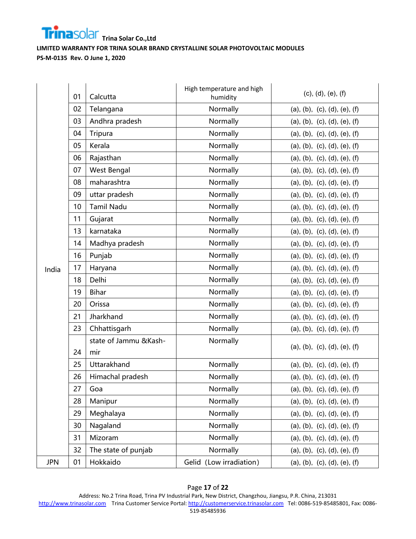

|            | 01 | Calcutta                     | High temperature and high<br>humidity | (c), (d), (e), (f)           |
|------------|----|------------------------------|---------------------------------------|------------------------------|
|            | 02 | Telangana                    | Normally                              | (a), (b), (c), (d), (e), (f) |
|            | 03 | Andhra pradesh               | Normally                              | (a), (b), (c), (d), (e), (f) |
|            | 04 | Tripura                      | Normally                              | (a), (b), (c), (d), (e), (f) |
|            | 05 | Kerala                       | Normally                              | (a), (b), (c), (d), (e), (f) |
|            | 06 | Rajasthan                    | Normally                              | (a), (b), (c), (d), (e), (f) |
|            | 07 | West Bengal                  | Normally                              | (a), (b), (c), (d), (e), (f) |
|            | 08 | maharashtra                  | Normally                              | (a), (b), (c), (d), (e), (f) |
|            | 09 | uttar pradesh                | Normally                              | (a), (b), (c), (d), (e), (f) |
|            | 10 | <b>Tamil Nadu</b>            | Normally                              | (a), (b), (c), (d), (e), (f) |
|            | 11 | Gujarat                      | Normally                              | (a), (b), (c), (d), (e), (f) |
|            | 13 | karnataka                    | Normally                              | (a), (b), (c), (d), (e), (f) |
|            | 14 | Madhya pradesh               | Normally                              | (a), (b), (c), (d), (e), (f) |
|            | 16 | Punjab                       | Normally                              | (a), (b), (c), (d), (e), (f) |
| India      | 17 | Haryana                      | Normally                              | (a), (b), (c), (d), (e), (f) |
|            | 18 | Delhi                        | Normally                              | (a), (b), (c), (d), (e), (f) |
|            | 19 | <b>Bihar</b>                 | Normally                              | (a), (b), (c), (d), (e), (f) |
|            | 20 | Orissa                       | Normally                              | (a), (b), (c), (d), (e), (f) |
|            | 21 | Jharkhand                    | Normally                              | (a), (b), (c), (d), (e), (f) |
|            | 23 | Chhattisgarh                 | Normally                              | (a), (b), (c), (d), (e), (f) |
|            | 24 | state of Jammu &Kash-<br>mir | Normally                              | (a), (b), (c), (d), (e), (f) |
|            | 25 | Uttarakhand                  | Normally                              | (a), (b), (c), (d), (e), (f) |
|            | 26 | Himachal pradesh             | Normally                              | (a), (b), (c), (d), (e), (f) |
|            | 27 | Goa                          | Normally                              | (a), (b), (c), (d), (e), (f) |
|            | 28 | Manipur                      | Normally                              | (a), (b), (c), (d), (e), (f) |
|            | 29 | Meghalaya                    | Normally                              | (a), (b), (c), (d), (e), (f) |
|            | 30 | Nagaland                     | Normally                              | (a), (b), (c), (d), (e), (f) |
|            | 31 | Mizoram                      | Normally                              | (a), (b), (c), (d), (e), (f) |
|            | 32 | The state of punjab          | Normally                              | (a), (b), (c), (d), (e), (f) |
| <b>JPN</b> | 01 | Hokkaido                     | Gelid (Low irradiation)               | (a), (b), (c), (d), (e), (f) |

# Page **17** of **22**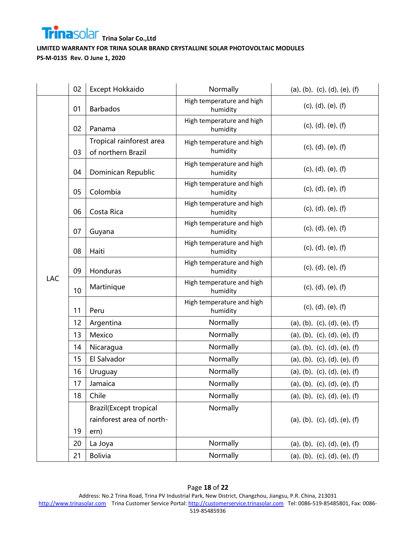

|            | 02 | Except Hokkaido                                                     | Normally                              | (a), (b), (c), (d), (e), (f) |
|------------|----|---------------------------------------------------------------------|---------------------------------------|------------------------------|
|            | 01 | <b>Barbados</b>                                                     | High temperature and high<br>humidity | (c), (d), (e), (f)           |
|            | 02 | Panama                                                              | High temperature and high<br>humidity | (c), (d), (e), (f)           |
|            | 03 | Tropical rainforest area<br>of northern Brazil                      | High temperature and high<br>humidity | (c), (d), (e), (f)           |
|            | 04 | Dominican Republic                                                  | High temperature and high<br>humidity | (c), (d), (e), (f)           |
|            | 05 | Colombia                                                            | High temperature and high<br>humidity | (c), (d), (e), (f)           |
|            | 06 | Costa Rica                                                          | High temperature and high<br>humidity | (c), (d), (e), (f)           |
|            | 07 | Guyana                                                              | High temperature and high<br>humidity | (c), (d), (e), (f)           |
|            | 08 | Haiti                                                               | High temperature and high<br>humidity | (c), (d), (e), (f)           |
|            | 09 | <b>Honduras</b>                                                     | High temperature and high<br>humidity | (c), (d), (e), (f)           |
| <b>LAC</b> | 10 | Martinique                                                          | High temperature and high<br>humidity | (c), (d), (e), (f)           |
|            | 11 | Peru                                                                | High temperature and high<br>humidity | (c), (d), (e), (f)           |
|            | 12 | Argentina                                                           | Normally                              | (a), (b), (c), (d), (e), (f) |
|            | 13 | Mexico                                                              | Normally                              | (a), (b), (c), (d), (e), (f) |
|            | 14 | Nicaragua                                                           | Normally                              | (a), (b), (c), (d), (e), (f) |
|            | 15 | El Salvador                                                         | Normally                              | (a), (b), (c), (d), (e), (f) |
|            | 16 | Uruguay                                                             | Normally                              | (a), (b), (c), (d), (e), (f) |
|            | 17 | Jamaica                                                             | Normally                              | (a), (b), (c), (d), (e), (f) |
|            | 18 | Chile                                                               | Normally                              | (a), (b), (c), (d), (e), (f) |
|            | 19 | <b>Brazil</b> (Except tropical<br>rainforest area of north-<br>ern) | Normally                              | (a), (b), (c), (d), (e), (f) |
|            | 20 | La Joya                                                             | Normally                              | (a), (b), (c), (d), (e), (f) |
|            | 21 | <b>Bolivia</b>                                                      | Normally                              | (a), (b), (c), (d), (e), (f) |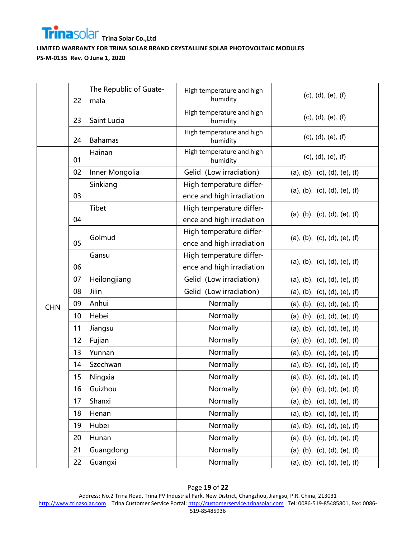

|            | 22       | The Republic of Guate-<br>mala | High temperature and high<br>humidity | (c), (d), (e), (f)           |
|------------|----------|--------------------------------|---------------------------------------|------------------------------|
|            | 23       | Saint Lucia                    | High temperature and high<br>humidity | (c), (d), (e), (f)           |
|            | 24       | <b>Bahamas</b>                 | High temperature and high<br>humidity | (c), (d), (e), (f)           |
|            | 01       | Hainan                         | High temperature and high<br>humidity | (c), (d), (e), (f)           |
|            | 02       | Inner Mongolia                 | Gelid (Low irradiation)               | (a), (b), (c), (d), (e), (f) |
|            |          | Sinkiang                       | High temperature differ-              | (a), (b), (c), (d), (e), (f) |
|            | 03       |                                | ence and high irradiation             |                              |
|            |          | Tibet                          | High temperature differ-              | (a), (b), (c), (d), (e), (f) |
|            | 04       |                                | ence and high irradiation             |                              |
|            |          | Golmud                         | High temperature differ-              | (a), (b), (c), (d), (e), (f) |
|            | 05       |                                | ence and high irradiation             |                              |
|            |          | Gansu                          | High temperature differ-              | (a), (b), (c), (d), (e), (f) |
|            | 06       |                                | ence and high irradiation             |                              |
|            | 07<br>08 | Heilongjiang                   | Gelid (Low irradiation)               | (a), (b), (c), (d), (e), (f) |
|            |          | Jilin                          | Gelid (Low irradiation)               | (a), (b), (c), (d), (e), (f) |
| <b>CHN</b> | 09       | Anhui                          | Normally                              | (a), (b), (c), (d), (e), (f) |
|            | 10       | Hebei                          | Normally                              | (a), (b), (c), (d), (e), (f) |
|            | 11       | Jiangsu                        | Normally                              | (a), (b), (c), (d), (e), (f) |
|            | 12       | Fujian                         | Normally                              | (a), (b), (c), (d), (e), (f) |
|            | 13       | Yunnan                         | Normally                              | (a), (b), (c), (d), (e), (f) |
|            | 14       | Szechwan                       | Normally                              | (a), (b), (c), (d), (e), (f) |
|            | 15       | Ningxia                        | Normally                              | (a), (b), (c), (d), (e), (f) |
|            | 16       | Guizhou                        | Normally                              | (a), (b), (c), (d), (e), (f) |
|            | 17       | Shanxi                         | Normally                              | (a), (b), (c), (d), (e), (f) |
|            | 18       | Henan                          | Normally                              | (a), (b), (c), (d), (e), (f) |
|            | 19       | Hubei                          | Normally                              | (a), (b), (c), (d), (e), (f) |
|            | 20       | Hunan                          | Normally                              | (a), (b), (c), (d), (e), (f) |
|            | 21       | Guangdong                      | Normally                              | (a), (b), (c), (d), (e), (f) |
|            | 22       | Guangxi                        | Normally                              | (a), (b), (c), (d), (e), (f) |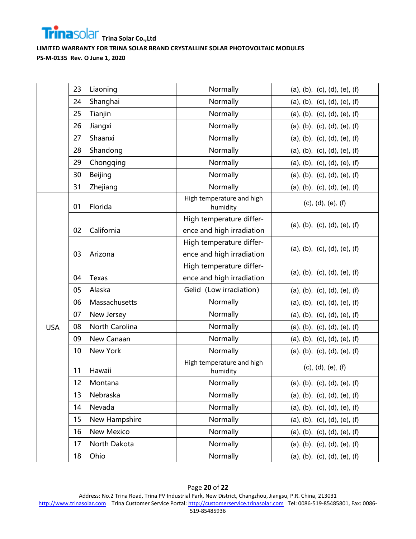

|            | 23 | Liaoning       | Normally                                              | (a), (b), (c), (d), (e), (f) |
|------------|----|----------------|-------------------------------------------------------|------------------------------|
|            | 24 | Shanghai       | Normally                                              | (a), (b), (c), (d), (e), (f) |
|            | 25 | Tianjin        | Normally                                              | (a), (b), (c), (d), (e), (f) |
|            | 26 | Jiangxi        | Normally                                              | (a), (b), (c), (d), (e), (f) |
|            | 27 | Shaanxi        | Normally                                              | (a), (b), (c), (d), (e), (f) |
|            | 28 | Shandong       | Normally                                              | (a), (b), (c), (d), (e), (f) |
|            | 29 | Chongqing      | Normally                                              | (a), (b), (c), (d), (e), (f) |
|            | 30 | Beijing        | Normally                                              | (a), (b), (c), (d), (e), (f) |
|            | 31 | Zhejiang       | Normally                                              | (a), (b), (c), (d), (e), (f) |
|            | 01 | Florida        | High temperature and high<br>humidity                 | (c), (d), (e), (f)           |
|            | 02 | California     | High temperature differ-<br>ence and high irradiation | (a), (b), (c), (d), (e), (f) |
|            | 03 | Arizona        | High temperature differ-<br>ence and high irradiation | (a), (b), (c), (d), (e), (f) |
|            | 04 | Texas          | High temperature differ-<br>ence and high irradiation | (a), (b), (c), (d), (e), (f) |
|            | 05 | Alaska         | Gelid (Low irradiation)                               | (a), (b), (c), (d), (e), (f) |
|            | 06 | Massachusetts  | Normally                                              | (a), (b), (c), (d), (e), (f) |
|            | 07 | New Jersey     | Normally                                              | (a), (b), (c), (d), (e), (f) |
| <b>USA</b> | 08 | North Carolina | Normally                                              | (a), (b), (c), (d), (e), (f) |
|            | 09 | New Canaan     | Normally                                              | (a), (b), (c), (d), (e), (f) |
|            | 10 | New York       | Normally                                              | (a), (b), (c), (d), (e), (f) |
|            | 11 | Hawaii         | High temperature and high<br>humidity                 | (c), (d), (e), (f)           |
|            | 12 | Montana        | Normally                                              | (a), (b), (c), (d), (e), (f) |
|            | 13 | Nebraska       | Normally                                              | (a), (b), (c), (d), (e), (f) |
|            | 14 | Nevada         | Normally                                              | (a), (b), (c), (d), (e), (f) |
|            | 15 | New Hampshire  | Normally                                              | (a), (b), (c), (d), (e), (f) |
|            | 16 | New Mexico     | Normally                                              | (a), (b), (c), (d), (e), (f) |
|            | 17 | North Dakota   | Normally                                              | (a), (b), (c), (d), (e), (f) |
|            | 18 | Ohio           | Normally                                              | (a), (b), (c), (d), (e), (f) |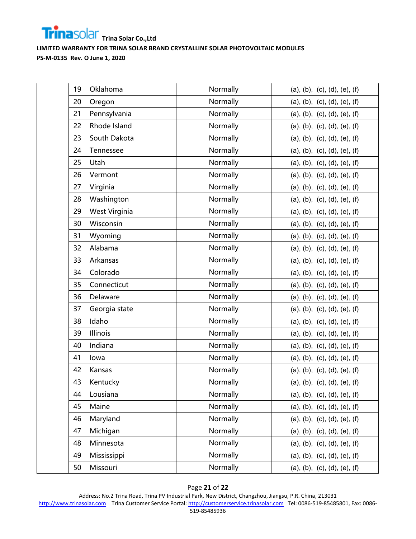

| 19 | Oklahoma                  | Normally                                 | (a), (b), (c), (d), (e), (f) |  |
|----|---------------------------|------------------------------------------|------------------------------|--|
| 20 | Normally<br>Oregon        |                                          | (a), (b), (c), (d), (e), (f) |  |
| 21 | Normally<br>Pennsylvania  |                                          | (a), (b), (c), (d), (e), (f) |  |
| 22 | Rhode Island              | Normally                                 | (a), (b), (c), (d), (e), (f) |  |
| 23 | South Dakota              | Normally                                 | (a), (b), (c), (d), (e), (f) |  |
| 24 | Normally<br>Tennessee     |                                          | (a), (b), (c), (d), (e), (f) |  |
| 25 | Normally<br>Utah          |                                          | (a), (b), (c), (d), (e), (f) |  |
| 26 | Vermont                   | Normally<br>(a), (b), (c), (d), (e), (f) |                              |  |
| 27 | Virginia                  | Normally<br>(a), (b), (c), (d), (e), (f) |                              |  |
| 28 | Washington                | Normally                                 | (a), (b), (c), (d), (e), (f) |  |
| 29 | West Virginia             | Normally                                 | (a), (b), (c), (d), (e), (f) |  |
| 30 | Wisconsin                 | Normally                                 | (a), (b), (c), (d), (e), (f) |  |
| 31 | Wyoming                   | Normally                                 | (a), (b), (c), (d), (e), (f) |  |
| 32 | Alabama                   | Normally                                 | (a), (b), (c), (d), (e), (f) |  |
| 33 | Arkansas                  | Normally                                 | (a), (b), (c), (d), (e), (f) |  |
| 34 | Colorado                  | Normally                                 | (a), (b), (c), (d), (e), (f) |  |
| 35 | Connecticut               | Normally                                 | (a), (b), (c), (d), (e), (f) |  |
| 36 | Delaware                  | Normally                                 | (a), (b), (c), (d), (e), (f) |  |
| 37 | Normally<br>Georgia state |                                          | (a), (b), (c), (d), (e), (f) |  |
| 38 | Idaho                     | Normally                                 | (a), (b), (c), (d), (e), (f) |  |
| 39 | Illinois<br>Normally      |                                          | (a), (b), (c), (d), (e), (f) |  |
| 40 | Indiana                   | Normally                                 | (a), (b), (c), (d), (e), (f) |  |
| 41 | lowa                      | Normally                                 | (a), (b), (c), (d), (e), (f) |  |
| 42 | Kansas                    | Normally                                 | (a), (b), (c), (d), (e), (f) |  |
| 43 | Kentucky                  | Normally                                 | (a), (b), (c), (d), (e), (f) |  |
| 44 | Lousiana                  | Normally                                 | (a), (b), (c), (d), (e), (f) |  |
| 45 | Maine                     | Normally                                 | (a), (b), (c), (d), (e), (f) |  |
| 46 | Maryland                  | Normally                                 | (a), (b), (c), (d), (e), (f) |  |
| 47 | Michigan                  | Normally                                 | (a), (b), (c), (d), (e), (f) |  |
| 48 | Minnesota                 | Normally                                 | (a), (b), (c), (d), (e), (f) |  |
| 49 | Mississippi               | Normally                                 | (a), (b), (c), (d), (e), (f) |  |
| 50 | Missouri                  | Normally                                 | (a), (b), (c), (d), (e), (f) |  |

#### Page **21** of **22**